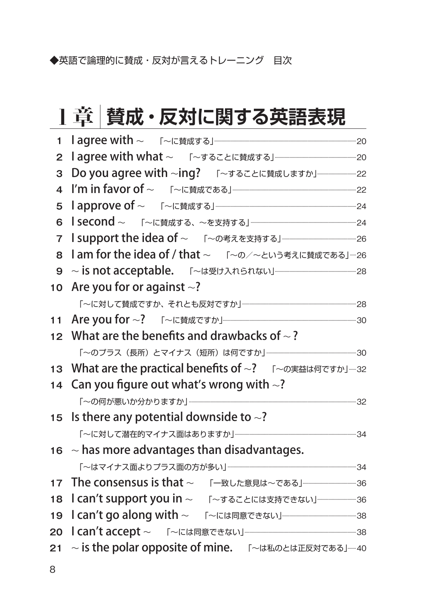◆英語で論理的に賛成・反対が言えるトレーニング 目次

## 1章 **賛成・反対に関する英語表現**

| Are you for or against $\sim$ ?<br>10 <sup>1</sup>     |                                                                                                                                                                                                                                  |
|--------------------------------------------------------|----------------------------------------------------------------------------------------------------------------------------------------------------------------------------------------------------------------------------------|
|                                                        |                                                                                                                                                                                                                                  |
|                                                        |                                                                                                                                                                                                                                  |
| 12 What are the benefits and drawbacks of $\sim$ ?     |                                                                                                                                                                                                                                  |
|                                                        |                                                                                                                                                                                                                                  |
|                                                        |                                                                                                                                                                                                                                  |
| What are the practical benefits of ~? 「~の実益は何ですか」---32 |                                                                                                                                                                                                                                  |
| 14 Can you figure out what's wrong with $\sim$ ?       |                                                                                                                                                                                                                                  |
|                                                        |                                                                                                                                                                                                                                  |
| 15 Is there any potential downside to $\sim$ ?         |                                                                                                                                                                                                                                  |
|                                                        |                                                                                                                                                                                                                                  |
| $16 \sim$ has more advantages than disadvantages.      |                                                                                                                                                                                                                                  |
|                                                        |                                                                                                                                                                                                                                  |
| The consensus is that ~ 「一致した意見は~である」–––––––––––––36   |                                                                                                                                                                                                                                  |
|                                                        |                                                                                                                                                                                                                                  |
|                                                        |                                                                                                                                                                                                                                  |
| ~ is the polar opposite of mine. 「~は私のとは正反対である」---40   |                                                                                                                                                                                                                                  |
|                                                        | 1approve of ~ 「 ~に賛成する」–––––––––––––––––––––––––––––24<br>  second ~ 「~に賛成する、~を支持する」–––––––––––––––––––––––––24<br>I support the idea of ~ 「 ~の考えを支持する」––––––––––––––––26<br>I am for the idea of / that ~ 「~の/~という考えに賛成である」--26 |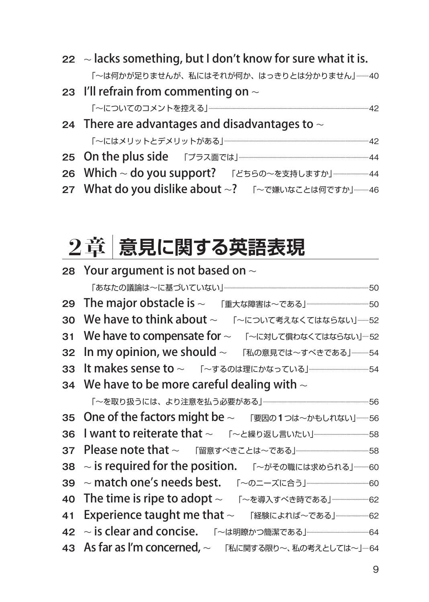- **22** 〜 lacks something, but I don't know for sure what it is. 「〜は何かが足りませんが、私にはそれが何か、はっきりとは分かりません」...........40
- **23** I'll refrain from commenting on 〜 「〜についてのコメントを控える」.....................................................................................................................................42

### **24** There are advantages and disadvantages to 〜 「〜にはメリットとデメリットがある」........................................................................................................................42

- **25** On the plus side 「プラス面では」............................................................................................................<sup>44</sup>
- 26 Which ~ do you support? 「どちらの~を支持しますか」 ………………………… 44
- 27 What do you dislike about ~? 「 ~で嫌いなことは何ですか」-----46

## 2章 **意見に関する英語表現**

|    | 28 Your argument is not based on $\sim$                                 |  |  |  |
|----|-------------------------------------------------------------------------|--|--|--|
|    |                                                                         |  |  |  |
|    | 29 The major obstacle is ~ 「重大な障害は~である」 -----------------------------50 |  |  |  |
|    | 30 We have to think about $\sim$<br>「~について考えなくてはならない」----52             |  |  |  |
|    | 31 We have to compensate for ~ 「 ~に対して償わなくてはならない」…52                    |  |  |  |
|    | 32 In my opinion, we should ~ 「私の意見では~すべきである」––––54                     |  |  |  |
|    |                                                                         |  |  |  |
|    | 34 We have to be more careful dealing with $\sim$                       |  |  |  |
|    | 「~を取り扱うには、より注意を払う必要がある」…………………………………………………………………56                      |  |  |  |
|    | 35 One of the factors might be ~ 「要因の1つは~かもしれない」-----56                 |  |  |  |
| 36 |                                                                         |  |  |  |
| 37 |                                                                         |  |  |  |
| 38 | ~ is required for the position. 「 ~がその職には求められる」–––60                    |  |  |  |
|    | 39 ~ match one's needs best. 「~のニーズに合う」––––––––––––––60                 |  |  |  |
|    | 40 The time is ripe to adopt ~ 「~を導入すべき時である」–––––––––62                 |  |  |  |
| 41 | Experience taught me that ~ 「経験によれば~である」–––––––––62                     |  |  |  |
|    | 42 ~ is clear and concise. 「~は明瞭かつ簡潔である」–––––––––––––––64               |  |  |  |
|    | 43 As far as I'm concerned, ~ 「私に関する限り~、私の考えとしては~」…64                   |  |  |  |
|    |                                                                         |  |  |  |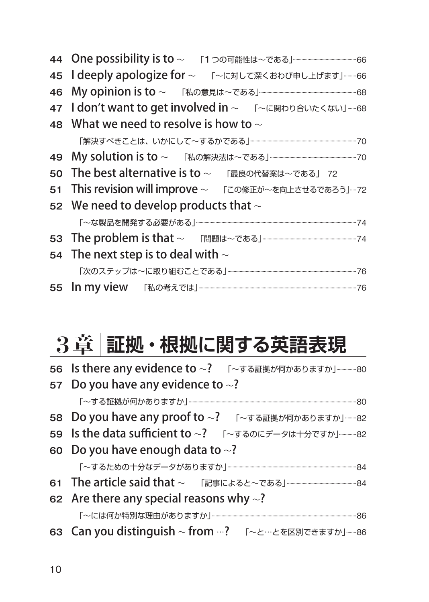| 44 One possibility is to ~ 「1つの可能性は~である」–––––––––––––––––66 |  |  |  |
|-------------------------------------------------------------|--|--|--|
| 45 I deeply apologize for ~ 「 ~に対して深くおわび申し上げます」----66       |  |  |  |
|                                                             |  |  |  |
| 47 I don't want to get involved in ~ 「~に関わり合いたくない」----68    |  |  |  |
| 48 What we need to resolve is how to $\sim$                 |  |  |  |
|                                                             |  |  |  |
|                                                             |  |  |  |
| 50 The best alternative is to ~ 「最良の代替案は~である」 72            |  |  |  |
| 51 This revision will improve ~ 「この修正が~を向上させるであろう」-72       |  |  |  |
| 52 We need to develop products that $\sim$                  |  |  |  |
|                                                             |  |  |  |
|                                                             |  |  |  |
| 54 The next step is to deal with $\sim$                     |  |  |  |
|                                                             |  |  |  |
|                                                             |  |  |  |

## 3章 **証拠・根拠に関する英語表現**

| 56 Is there any evidence to ~? 「~する証拠が何かありますか」…………80          |  |
|---------------------------------------------------------------|--|
| 57 Do you have any evidence to $\sim$ ?                       |  |
|                                                               |  |
| 58 Do you have any proof to ~? 「~する証拠が何かありますか」-----82         |  |
| 59 Is the data sufficient to ~? 「~するのにデータは十分ですか」------82      |  |
| 60 Do you have enough data to $\sim$ ?                        |  |
| 「~するための十分なデータがありますか」……………………………………………………………………………84           |  |
| 61 The article said that ~ 「記事によると~である」––––––––––––––––––––84 |  |
| 62 Are there any special reasons why $\sim$ ?                 |  |
|                                                               |  |
| 63 Can you distinguish ~ from …? 「~と…とを区別できますか」----86         |  |
|                                                               |  |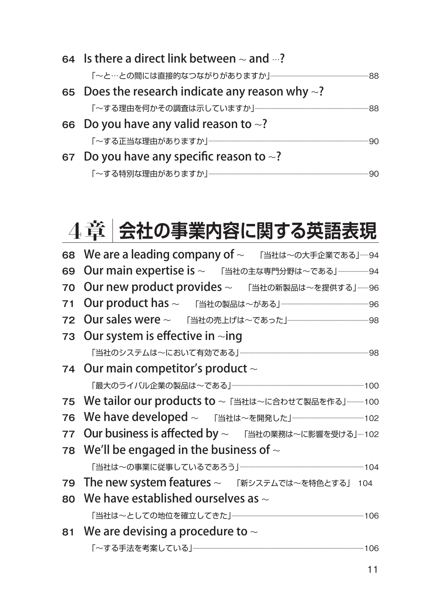| 64 Is there a direct link between $\sim$ and $\cdots$ ? |  |  |
|---------------------------------------------------------|--|--|
| 「~と…との間には直接的なつながりがありますか」…………………………………………………………………88     |  |  |
| 65 Does the research indicate any reason why $\sim$ ?   |  |  |
|                                                         |  |  |
| 66 Do you have any valid reason to $\sim$ ?             |  |  |
|                                                         |  |  |
| 67 Do you have any specific reason to $\sim$ ?          |  |  |
|                                                         |  |  |

## 4章 **会社の事業内容に関する英語表現**

| 68 We are a leading company of ~ 「当社は~の大手企業である」-- 94        |
|-------------------------------------------------------------|
| 69 Our main expertise is ~ 「当社の主な専門分野は~である」––––––––94       |
| 70 Our new product provides ~ 「当社の新製品は~を提供する」–––96          |
| 71 Our product has ~ 「当社の製品は~がある」–––––––––––––––––––––96    |
|                                                             |
| 73 Our system is effective in $\sim$ ing                    |
|                                                             |
| 74 Our main competitor's product $\sim$                     |
|                                                             |
| 75 We tailor our products to ~ 「当社は~に合わせて製品を作る」---------100 |
|                                                             |
| 77 Our business is affected by ~ 「当社の業務は~に影響を受ける」…102       |
| 78 We'll be engaged in the business of $\sim$               |
|                                                             |
| 79 The new system features ~ 「新システムでは~を特色とする」 104           |
| 80 We have established ourselves as $\sim$                  |
|                                                             |
| 81 We are devising a procedure to $\sim$                    |
|                                                             |
|                                                             |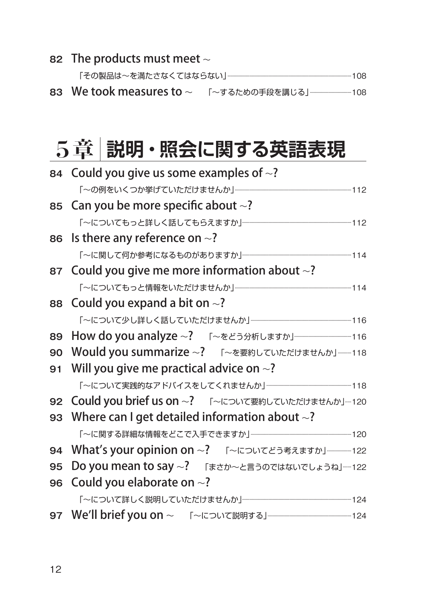#### The products must meet 〜

「その製品は〜を満たさなくてはならない」.......................................................................................................108

We took measures to 〜 「〜するための手段を講じる」...................................<sup>108</sup>

### 5章 **説明・照会に関する英語表現**

|    | 84 Could you give us some examples of $\sim$ ?         |
|----|--------------------------------------------------------|
|    |                                                        |
|    | 85 Can you be more specific about $\sim$ ?             |
|    |                                                        |
|    | 86 Is there any reference on $\sim$ ?                  |
|    |                                                        |
|    | 87 Could you give me more information about $\sim$ ?   |
|    |                                                        |
|    | 88 Could you expand a bit on $\sim$ ?                  |
|    |                                                        |
|    |                                                        |
| 90 | Would you summarize ~? 「~を要約していただけませんか」-----118        |
|    | 91 Will you give me practical advice on $\sim$ ?       |
|    | 「~について実践的なアドバイスをしてくれませんか」…………………………………………………………118     |
|    | 92 Could you brief us on ~? 「 ~について要約していただけませんか」---120 |
|    | 93 Where can I get detailed information about $\sim$ ? |
|    | 「~に関する詳細な情報をどこで入手できますか」……………………………………………………………………… 120 |
|    | 94 What's your opinion on ~? 「 ~についてどう考えますか」–––––122   |
| 95 | Do you mean to say ~? 「まさか~と言うのではないでしょうね」----122       |
| 96 | Could you elaborate on $\sim$ ?                        |
|    |                                                        |
|    |                                                        |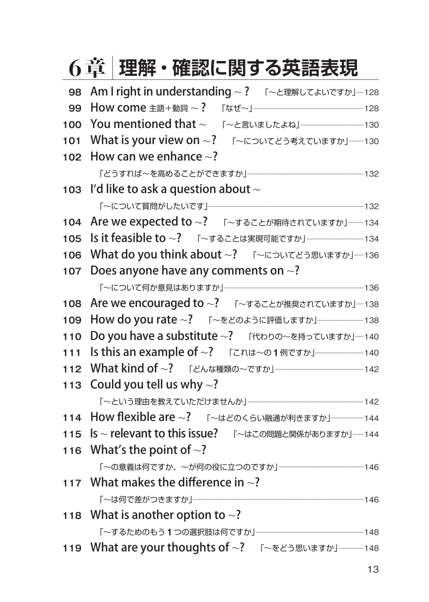|     | 理解・確認に関する英語表現<br>6章                                    |
|-----|--------------------------------------------------------|
| 98  | Am I right in understanding ~? 「~と理解してよいですか」--128      |
| 99  |                                                        |
| 100 |                                                        |
| 101 | What is your view on ~? 「 ~についてどう考えていますか」---130        |
| 102 | How can we enhance $\sim$ ?                            |
|     |                                                        |
| 103 | I'd like to ask a question about $\sim$                |
|     |                                                        |
| 104 | Are we expected to ~? 「~することが期待されていますか」-----134        |
| 105 | Is it feasible to ~? 「~することは実現可能ですか」–––––––––––––134   |
| 106 | What do you think about ~? 「 ~についてどう思いますか」---136       |
| 107 | Does anyone have any comments on $\sim$ ?              |
|     |                                                        |
| 108 | Are we encouraged to ~? 「~することが推奨されていますか」---138        |
| 109 |                                                        |
| 110 | Do you have a substitute ~? 「代わりの~を持っていますか」--140       |
| 111 |                                                        |
| 112 | What kind of ~? 「どんな種類の~ですか」––––––––––––––––––––142    |
| 113 | Could you tell us why $\sim$ ?                         |
|     |                                                        |
| 114 | How flexible are ~? 「~はどのくらい融通が利きますか」–––––––––144      |
| 115 | Is ~ relevant to this issue? 「~はこの問題と関係がありますか」-----144 |
| 116 | What's the point of $\sim$ ?                           |
|     |                                                        |
|     | 117 What makes the difference in $\sim$ ?              |
|     |                                                        |
| 118 | What is another option to $\sim$ ?                     |
|     |                                                        |
|     | 119 What are your thoughts of ~? 「~をどう思いますか」––––148    |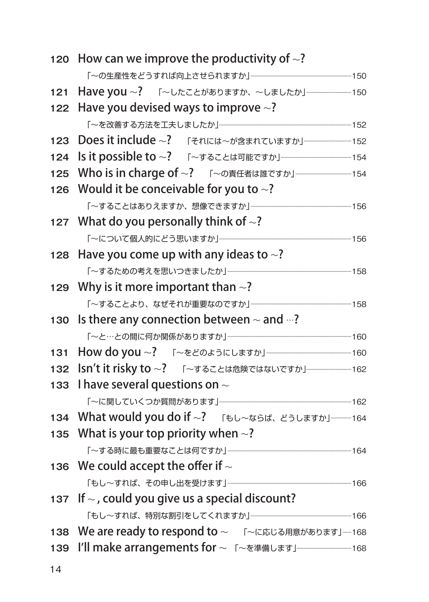| 120 | How can we improve the productivity of $\sim$ ?        |  |  |  |
|-----|--------------------------------------------------------|--|--|--|
|     |                                                        |  |  |  |
| 121 |                                                        |  |  |  |
| 122 | Have you devised ways to improve $\sim$ ?              |  |  |  |
|     |                                                        |  |  |  |
| 123 |                                                        |  |  |  |
| 124 |                                                        |  |  |  |
| 125 | Who is in charge of ~? 「 ~の責任者は誰ですか」––––––––––––––154  |  |  |  |
| 126 | Would it be conceivable for you to $\sim$ ?            |  |  |  |
|     |                                                        |  |  |  |
|     | 127 What do you personally think of $\sim$ ?           |  |  |  |
|     |                                                        |  |  |  |
| 128 | Have you come up with any ideas to $\sim$ ?            |  |  |  |
|     |                                                        |  |  |  |
| 129 | Why is it more important than $\sim$ ?                 |  |  |  |
|     |                                                        |  |  |  |
| 130 | Is there any connection between $\sim$ and $\cdots$ ?  |  |  |  |
|     |                                                        |  |  |  |
| 131 |                                                        |  |  |  |
| 132 |                                                        |  |  |  |
| 133 | I have several questions on $\sim$                     |  |  |  |
|     |                                                        |  |  |  |
| 134 | What would you do if ~? 「もし~ならば、どうしますか」----------164   |  |  |  |
| 135 | What is your top priority when $\sim$ ?                |  |  |  |
|     |                                                        |  |  |  |
| 136 | We could accept the offer if $\sim$                    |  |  |  |
|     |                                                        |  |  |  |
| 137 | If $\sim$ , could you give us a special discount?      |  |  |  |
|     |                                                        |  |  |  |
| 138 | We are ready to respond to ~ 「 ~に応じる用意があります」----168    |  |  |  |
| 139 | I'll make arrangements for ~ 「~を準備します」–––––––––––––168 |  |  |  |
|     |                                                        |  |  |  |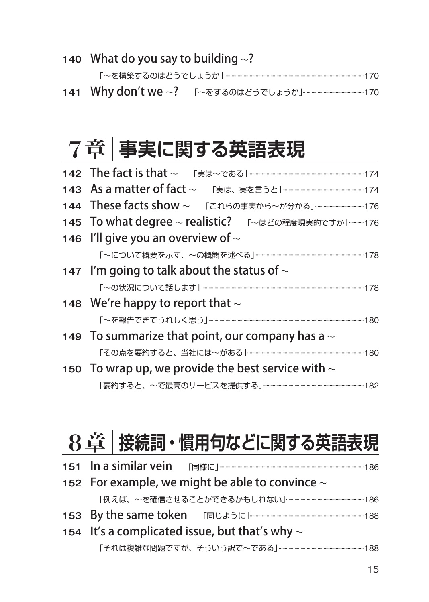**140** What do you say to building 〜?

141 Why don't we ∼? 「 ~をするのはどうでしょうか」 **.....................**170

### 7章 **事実に関する英語表現**

| 143 As a matter of fact ~ 「実は、実を言うと」 374                |  |
|---------------------------------------------------------|--|
|                                                         |  |
| 145 To what degree ~ realistic? 「~はどの程度現実的ですか」––––176   |  |
| 146 I'll give you an overview of $\sim$                 |  |
| 「~について概要を示す、~の概観を述べる」………………………………………………………………………178     |  |
| 147 I'm going to talk about the status of $\sim$        |  |
|                                                         |  |
| 148 We're happy to report that $\sim$                   |  |
|                                                         |  |
| 149 To summarize that point, our company has a $\sim$   |  |
|                                                         |  |
| 150 To wrap up, we provide the best service with $\sim$ |  |
|                                                         |  |

## 8章 **接続詞・慣用句などに関する英語表現**

| 152 For example, we might be able to convince $\sim$ |                                                   |  |  |
|------------------------------------------------------|---------------------------------------------------|--|--|
| 「例えば、~を確信させることができるかもしれない」………………………………………………………………186 |                                                   |  |  |
|                                                      |                                                   |  |  |
| 154 It's a complicated issue, but that's why $\sim$  |                                                   |  |  |
|                                                      | 「それは複雑な問題ですが、そういう訳で~である」……………………………………………………… 188 |  |  |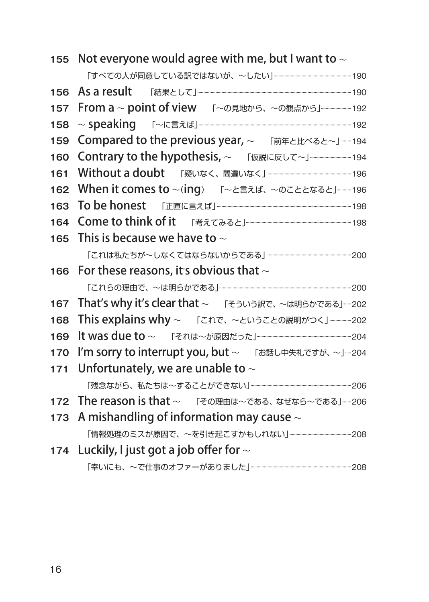|       | 155 Not everyone would agree with me, but I want to $\sim$   |  |  |
|-------|--------------------------------------------------------------|--|--|
|       |                                                              |  |  |
| 156   |                                                              |  |  |
| 157   | From a ~ point of view 「~の見地から、~の観点から」 ----------------- 192 |  |  |
| 158   |                                                              |  |  |
| 159   | Compared to the previous year, ~ 「前年と比べると~」-----194          |  |  |
| 160   |                                                              |  |  |
| 161   |                                                              |  |  |
| 162   | When it comes to ~(ing) 「~と言えば、 ~のこととなると」------196           |  |  |
| 163   |                                                              |  |  |
| 164   |                                                              |  |  |
| 165   | This is because we have to $\sim$                            |  |  |
|       | 「これは私たちが~しなくてはならないからである」……………………………………………………………… 200         |  |  |
| 166   | For these reasons, it's obvious that $\sim$                  |  |  |
|       |                                                              |  |  |
| 167   | That's why it's clear that ~ 「そういう訳で、~は明らかである」----202        |  |  |
| 168   | This explains why ~ 「これで、~ということの説明がつく」----------202          |  |  |
| 169   |                                                              |  |  |
| 170   | I'm sorry to interrupt you, but ~ 「お話し中失礼ですが、~」--204         |  |  |
| $171$ | Unfortunately, we are unable to $\sim$                       |  |  |
|       |                                                              |  |  |
| 172   | The reason is that ~ 「その理由は~である、なぜなら~である」----206             |  |  |
| 173   | A mishandling of information may cause $\sim$                |  |  |
|       | 「情報処理のミスが原因で、~を引き起こすかもしれない」……………………………………… 208               |  |  |
|       | 174 Luckily, I just got a job offer for $\sim$               |  |  |
|       |                                                              |  |  |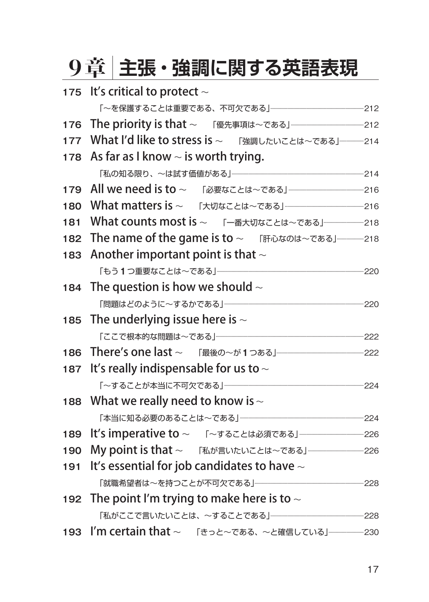# 9章 **主張・強調に関する英語表現**

|     | 175 It's critical to protect $\sim$                     |  |
|-----|---------------------------------------------------------|--|
|     |                                                         |  |
| 176 |                                                         |  |
| 177 | What I'd like to stress is ~ 「強調したいことは~である」……………… 214   |  |
| 178 | As far as I know $\sim$ is worth trying.                |  |
|     |                                                         |  |
| 179 | All we need is to ~ 「必要なことは~である」––––––––––––––––––––216 |  |
| 180 | What matters is ~ 「大切なことは~である」––––––––––––––––––––––216 |  |
| 181 | What counts most is ~ 「一番大切なことは~である」–––––––––––218      |  |
| 182 | The name of the game is to ~ 「肝心なのは~である」–––––––218      |  |
| 183 | Another important point is that $\sim$                  |  |
|     |                                                         |  |
|     | 184 The question is how we should $\sim$                |  |
|     |                                                         |  |
|     | 185 The underlying issue here is $\sim$                 |  |
|     |                                                         |  |
|     |                                                         |  |
| 187 | It's really indispensable for us to $\sim$              |  |
|     |                                                         |  |
|     | 188 What we really need to know is $\sim$               |  |
|     |                                                         |  |
| 189 | It's imperative to ~ 「~することは必須である」––––––––––––––––––226 |  |
| 190 |                                                         |  |
| 191 | It's essential for job candidates to have $\sim$        |  |
|     |                                                         |  |
|     | 192 The point I'm trying to make here is to $\sim$      |  |
|     |                                                         |  |
| 193 | I'm certain that ~ 「きっと~である、~と確信している」–––––––––230       |  |